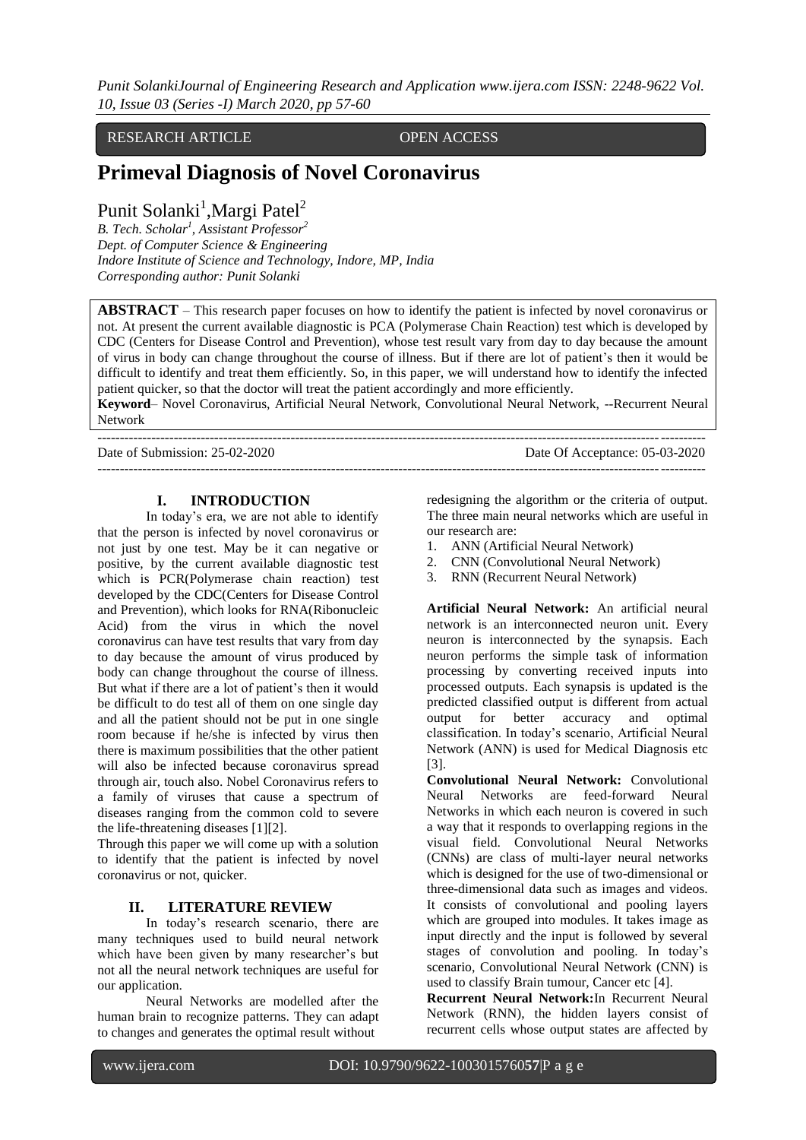*Punit SolankiJournal of Engineering Research and Application www.ijera.com ISSN: 2248-9622 Vol. 10, Issue 03 (Series -I) March 2020, pp 57-60*

RESEARCH ARTICLE OPEN ACCESS

# **Primeval Diagnosis of Novel Coronavirus**

# Punit Solanki<sup>1</sup>, Margi Patel<sup>2</sup>

*B. Tech. Scholar<sup>1</sup> , Assistant Professor<sup>2</sup> Dept. of Computer Science & Engineering Indore Institute of Science and Technology, Indore, MP, India Corresponding author: Punit Solanki*

**ABSTRACT** – This research paper focuses on how to identify the patient is infected by novel coronavirus or not. At present the current available diagnostic is PCA (Polymerase Chain Reaction) test which is developed by CDC (Centers for Disease Control and Prevention), whose test result vary from day to day because the amount of virus in body can change throughout the course of illness. But if there are lot of patient's then it would be difficult to identify and treat them efficiently. So, in this paper, we will understand how to identify the infected patient quicker, so that the doctor will treat the patient accordingly and more efficiently.

**Keyword**– Novel Coronavirus, Artificial Neural Network, Convolutional Neural Network, --Recurrent Neural Network ---------------------------------------------------------------------------------------------------------------------------------------

Date of Submission: 25-02-2020 Date Of Acceptance: 05-03-2020 ---------------------------------------------------------------------------------------------------------------------------------------

## **I. INTRODUCTION**

In today's era, we are not able to identify that the person is infected by novel coronavirus or not just by one test. May be it can negative or positive, by the current available diagnostic test which is PCR(Polymerase chain reaction) test developed by the CDC(Centers for Disease Control and Prevention), which looks for RNA(Ribonucleic Acid) from the virus in which the novel coronavirus can have test results that vary from day to day because the amount of virus produced by body can change throughout the course of illness. But what if there are a lot of patient's then it would be difficult to do test all of them on one single day and all the patient should not be put in one single room because if he/she is infected by virus then there is maximum possibilities that the other patient will also be infected because coronavirus spread through air, touch also. Nobel Coronavirus refers to a family of viruses that cause a spectrum of diseases ranging from the common cold to severe the life-threatening diseases [1][2].

Through this paper we will come up with a solution to identify that the patient is infected by novel coronavirus or not, quicker.

## **II. LITERATURE REVIEW**

In today's research scenario, there are many techniques used to build neural network which have been given by many researcher's but not all the neural network techniques are useful for our application.

Neural Networks are modelled after the human brain to recognize patterns. They can adapt to changes and generates the optimal result without

redesigning the algorithm or the criteria of output. The three main neural networks which are useful in our research are:

- 1. ANN (Artificial Neural Network)
- 2. CNN (Convolutional Neural Network)
- 3. RNN (Recurrent Neural Network)

**Artificial Neural Network:** An artificial neural network is an interconnected neuron unit. Every neuron is interconnected by the synapsis. Each neuron performs the simple task of information processing by converting received inputs into processed outputs. Each synapsis is updated is the predicted classified output is different from actual output for better accuracy and optimal classification. In today's scenario, Artificial Neural Network (ANN) is used for Medical Diagnosis etc [3].

**Convolutional Neural Network:** Convolutional Neural Networks are feed-forward Neural Networks in which each neuron is covered in such a way that it responds to overlapping regions in the visual field. Convolutional Neural Networks (CNNs) are class of multi-layer neural networks which is designed for the use of two-dimensional or three-dimensional data such as images and videos. It consists of convolutional and pooling layers which are grouped into modules. It takes image as input directly and the input is followed by several stages of convolution and pooling. In today's scenario, Convolutional Neural Network (CNN) is used to classify Brain tumour, Cancer etc [4].

**Recurrent Neural Network:**In Recurrent Neural Network (RNN), the hidden layers consist of recurrent cells whose output states are affected by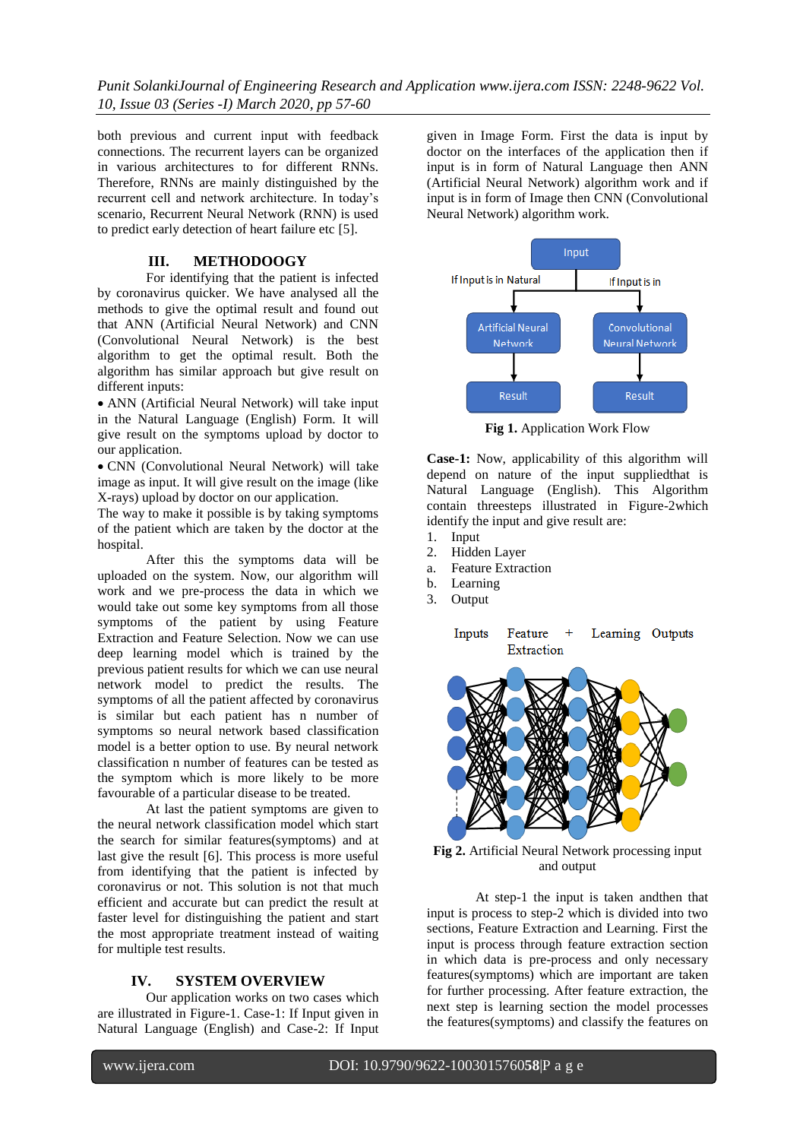*Punit SolankiJournal of Engineering Research and Application www.ijera.com ISSN: 2248-9622 Vol. 10, Issue 03 (Series -I) March 2020, pp 57-60*

both previous and current input with feedback connections. The recurrent layers can be organized in various architectures to for different RNNs. Therefore, RNNs are mainly distinguished by the recurrent cell and network architecture. In today's scenario, Recurrent Neural Network (RNN) is used to predict early detection of heart failure etc [5].

# **III. METHODOOGY**

For identifying that the patient is infected by coronavirus quicker. We have analysed all the methods to give the optimal result and found out that ANN (Artificial Neural Network) and CNN (Convolutional Neural Network) is the best algorithm to get the optimal result. Both the algorithm has similar approach but give result on different inputs:

 ANN (Artificial Neural Network) will take input in the Natural Language (English) Form. It will give result on the symptoms upload by doctor to our application.

 CNN (Convolutional Neural Network) will take image as input. It will give result on the image (like X-rays) upload by doctor on our application.

The way to make it possible is by taking symptoms of the patient which are taken by the doctor at the hospital.

After this the symptoms data will be uploaded on the system. Now, our algorithm will work and we pre-process the data in which we would take out some key symptoms from all those symptoms of the patient by using Feature Extraction and Feature Selection. Now we can use deep learning model which is trained by the previous patient results for which we can use neural network model to predict the results. The symptoms of all the patient affected by coronavirus is similar but each patient has n number of symptoms so neural network based classification model is a better option to use. By neural network classification n number of features can be tested as the symptom which is more likely to be more favourable of a particular disease to be treated.

At last the patient symptoms are given to the neural network classification model which start the search for similar features(symptoms) and at last give the result [6]. This process is more useful from identifying that the patient is infected by coronavirus or not. This solution is not that much efficient and accurate but can predict the result at faster level for distinguishing the patient and start the most appropriate treatment instead of waiting for multiple test results.

#### **IV. SYSTEM OVERVIEW**

Our application works on two cases which are illustrated in Figure-1. Case-1: If Input given in Natural Language (English) and Case-2: If Input given in Image Form. First the data is input by doctor on the interfaces of the application then if input is in form of Natural Language then ANN (Artificial Neural Network) algorithm work and if input is in form of Image then CNN (Convolutional Neural Network) algorithm work.



**Fig 1.** Application Work Flow

**Case-1:** Now, applicability of this algorithm will depend on nature of the input suppliedthat is Natural Language (English). This Algorithm contain threesteps illustrated in Figure-2which identify the input and give result are:

- 1. Input
- 2. Hidden Layer
- a. Feature Extraction
- b. Learning
- 3. Output

Inputs Feature Learning Outputs  $+$ Extraction



**Fig 2.** Artificial Neural Network processing input and output

At step-1 the input is taken andthen that input is process to step-2 which is divided into two sections, Feature Extraction and Learning. First the input is process through feature extraction section in which data is pre-process and only necessary features(symptoms) which are important are taken for further processing. After feature extraction, the next step is learning section the model processes the features(symptoms) and classify the features on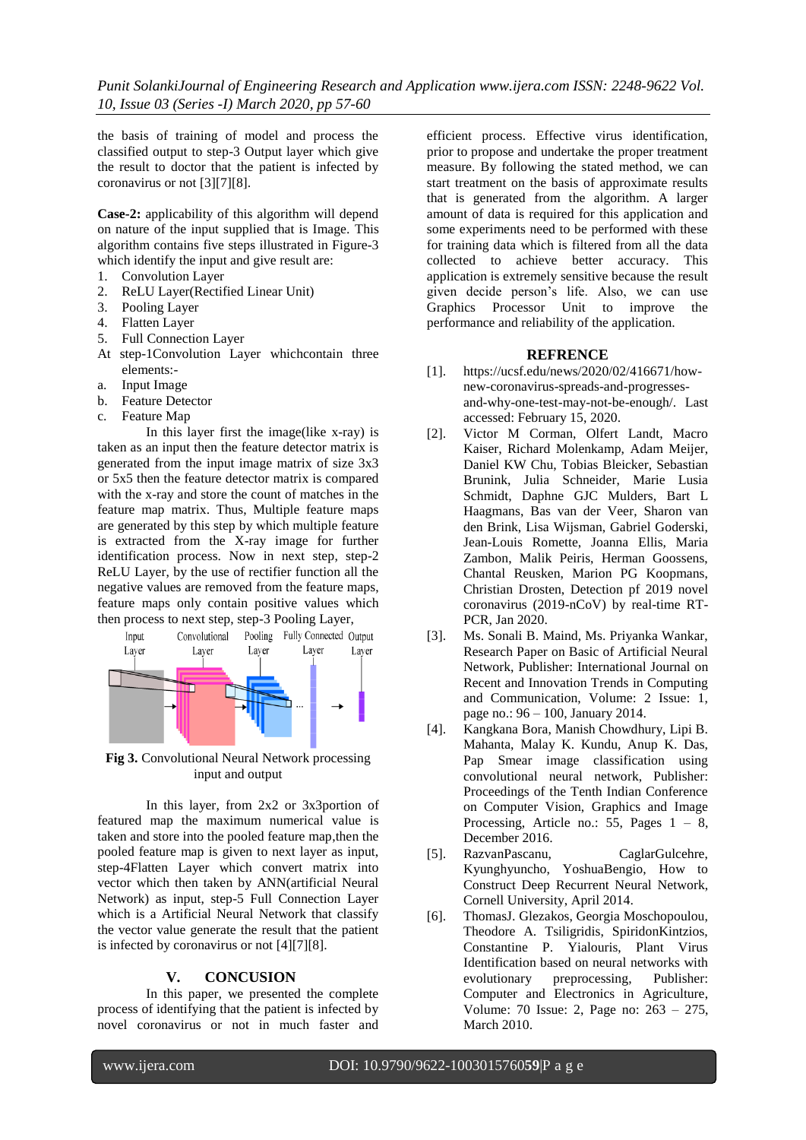the basis of training of model and process the classified output to step-3 Output layer which give the result to doctor that the patient is infected by coronavirus or not [3][7][8].

**Case-2:** applicability of this algorithm will depend on nature of the input supplied that is Image. This algorithm contains five steps illustrated in Figure-3 which identify the input and give result are:

- 1. Convolution Layer
- 2. ReLU Layer(Rectified Linear Unit)
- 3. Pooling Layer
- 4. Flatten Layer
- 5. Full Connection Layer
- At step-1Convolution Layer whichcontain three elements:-
- a. Input Image
- b. Feature Detector
- c. Feature Map

In this layer first the image(like x-ray) is taken as an input then the feature detector matrix is generated from the input image matrix of size 3x3 or 5x5 then the feature detector matrix is compared with the x-ray and store the count of matches in the feature map matrix. Thus, Multiple feature maps are generated by this step by which multiple feature is extracted from the X-ray image for further identification process. Now in next step, step-2 ReLU Layer, by the use of rectifier function all the negative values are removed from the feature maps, feature maps only contain positive values which then process to next step, step-3 Pooling Layer,



**Fig 3.** Convolutional Neural Network processing input and output

In this layer, from 2x2 or 3x3portion of featured map the maximum numerical value is taken and store into the pooled feature map,then the pooled feature map is given to next layer as input, step-4Flatten Layer which convert matrix into vector which then taken by ANN(artificial Neural Network) as input, step-5 Full Connection Layer which is a Artificial Neural Network that classify the vector value generate the result that the patient is infected by coronavirus or not [4][7][8].

## **V. CONCUSION**

In this paper, we presented the complete process of identifying that the patient is infected by novel coronavirus or not in much faster and

efficient process. Effective virus identification, prior to propose and undertake the proper treatment measure. By following the stated method, we can start treatment on the basis of approximate results that is generated from the algorithm. A larger amount of data is required for this application and some experiments need to be performed with these for training data which is filtered from all the data collected to achieve better accuracy. This application is extremely sensitive because the result given decide person's life. Also, we can use Graphics Processor Unit to improve the performance and reliability of the application.

### **REFRENCE**

- [1]. https://ucsf.edu/news/2020/02/416671/hownew-coronavirus-spreads-and-progressesand-why-one-test-may-not-be-enough/. Last accessed: February 15, 2020.
- [2]. Victor M Corman, Olfert Landt, Macro Kaiser, Richard Molenkamp, Adam Meijer, Daniel KW Chu, Tobias Bleicker, Sebastian Brunink, Julia Schneider, Marie Lusia Schmidt, Daphne GJC Mulders, Bart L Haagmans, Bas van der Veer, Sharon van den Brink, Lisa Wijsman, Gabriel Goderski, Jean-Louis Romette, Joanna Ellis, Maria Zambon, Malik Peiris, Herman Goossens, Chantal Reusken, Marion PG Koopmans, Christian Drosten, Detection pf 2019 novel coronavirus (2019-nCoV) by real-time RT-PCR, Jan 2020.
- [3]. Ms. Sonali B. Maind, Ms. Priyanka Wankar, Research Paper on Basic of Artificial Neural Network, Publisher: International Journal on Recent and Innovation Trends in Computing and Communication, Volume: 2 Issue: 1, page no.: 96 – 100, January 2014.
- [4]. Kangkana Bora, Manish Chowdhury, Lipi B. Mahanta, Malay K. Kundu, Anup K. Das, Pap Smear image classification using convolutional neural network, Publisher: Proceedings of the Tenth Indian Conference on Computer Vision, Graphics and Image Processing, Article no.:  $55$ , Pages  $1 - 8$ , December 2016.
- [5]. RazvanPascanu, CaglarGulcehre, Kyunghyuncho, YoshuaBengio, How to Construct Deep Recurrent Neural Network, Cornell University, April 2014.
- [6]. ThomasJ. Glezakos, Georgia Moschopoulou, Theodore A. Tsiligridis, SpiridonKintzios, Constantine P. Yialouris, Plant Virus Identification based on neural networks with evolutionary preprocessing, Publisher: Computer and Electronics in Agriculture, Volume: 70 Issue: 2, Page no: 263 – 275, March 2010.